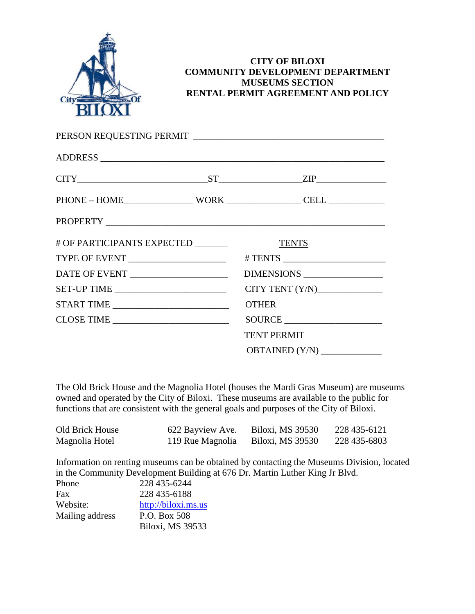

#### **CITY OF BILOXI COMMUNITY DEVELOPMENT DEPARTMENT MUSEUMS SECTION RENTAL PERMIT AGREEMENT AND POLICY**

|                                                                     |  | $CITY$ 2IP                          |  |
|---------------------------------------------------------------------|--|-------------------------------------|--|
|                                                                     |  | $PHONE - HOME$ $WORK$ $CELL$ $CELL$ |  |
|                                                                     |  |                                     |  |
| # OF PARTICIPANTS EXPECTED _______                                  |  | <b>TENTS</b>                        |  |
|                                                                     |  |                                     |  |
|                                                                     |  | DIMENSIONS                          |  |
| SET-UP TIME                                                         |  | CITY TENT $(Y/N)$                   |  |
| START TIME                                                          |  | <b>OTHER</b>                        |  |
| $\textbf{CLOSE TIME} \begin{tabular}{c} \textbf{---} \end{tabular}$ |  | SOURCE                              |  |
|                                                                     |  | <b>TENT PERMIT</b>                  |  |
|                                                                     |  | OBTAINED (Y/N) ______________       |  |

The Old Brick House and the Magnolia Hotel (houses the Mardi Gras Museum) are museums owned and operated by the City of Biloxi. These museums are available to the public for functions that are consistent with the general goals and purposes of the City of Biloxi.

| Old Brick House | 622 Bayview Ave. | Biloxi, MS 39530 | 228 435-6121 |
|-----------------|------------------|------------------|--------------|
| Magnolia Hotel  | 119 Rue Magnolia | Biloxi, MS 39530 | 228 435-6803 |

Information on renting museums can be obtained by contacting the Museums Division, located in the Community Development Building at 676 Dr. Martin Luther King Jr Blvd.

| Phone           | 228 435-6244        |
|-----------------|---------------------|
| Fax             | 228 435-6188        |
| Website:        | http://biloxi.ms.us |
| Mailing address | P.O. Box 508        |
|                 | Biloxi, MS 39533    |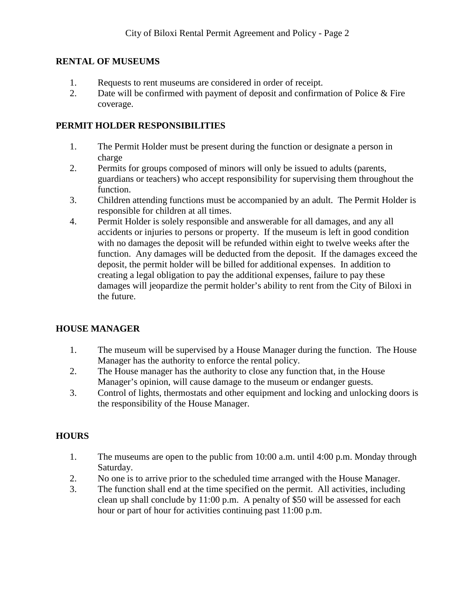#### **RENTAL OF MUSEUMS**

- 1. Requests to rent museums are considered in order of receipt.
- 2. Date will be confirmed with payment of deposit and confirmation of Police & Fire coverage.

#### **PERMIT HOLDER RESPONSIBILITIES**

- 1. The Permit Holder must be present during the function or designate a person in charge
- 2. Permits for groups composed of minors will only be issued to adults (parents, guardians or teachers) who accept responsibility for supervising them throughout the function.
- 3. Children attending functions must be accompanied by an adult. The Permit Holder is responsible for children at all times.
- 4. Permit Holder is solely responsible and answerable for all damages, and any all accidents or injuries to persons or property. If the museum is left in good condition with no damages the deposit will be refunded within eight to twelve weeks after the function. Any damages will be deducted from the deposit. If the damages exceed the deposit, the permit holder will be billed for additional expenses. In addition to creating a legal obligation to pay the additional expenses, failure to pay these damages will jeopardize the permit holder's ability to rent from the City of Biloxi in the future.

## **HOUSE MANAGER**

- 1. The museum will be supervised by a House Manager during the function. The House Manager has the authority to enforce the rental policy.
- 2. The House manager has the authority to close any function that, in the House Manager's opinion, will cause damage to the museum or endanger guests.
- 3. Control of lights, thermostats and other equipment and locking and unlocking doors is the responsibility of the House Manager.

## **HOURS**

- 1. The museums are open to the public from 10:00 a.m. until 4:00 p.m. Monday through Saturday.
- 2. No one is to arrive prior to the scheduled time arranged with the House Manager.
- 3. The function shall end at the time specified on the permit. All activities, including clean up shall conclude by 11:00 p.m. A penalty of \$50 will be assessed for each hour or part of hour for activities continuing past 11:00 p.m.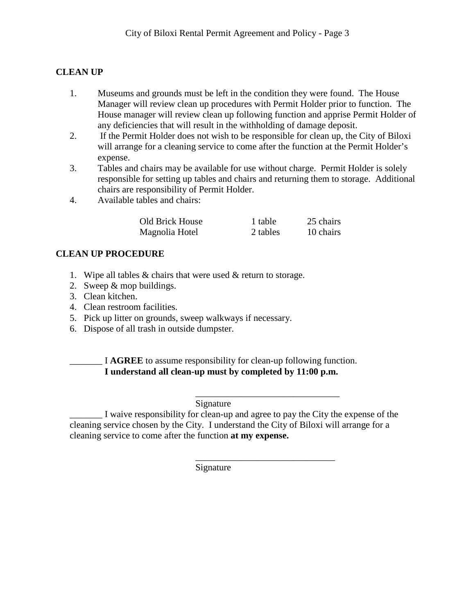## **CLEAN UP**

- 1. Museums and grounds must be left in the condition they were found. The House Manager will review clean up procedures with Permit Holder prior to function. The House manager will review clean up following function and apprise Permit Holder of any deficiencies that will result in the withholding of damage deposit.
- 2. If the Permit Holder does not wish to be responsible for clean up, the City of Biloxi will arrange for a cleaning service to come after the function at the Permit Holder's expense.
- 3. Tables and chairs may be available for use without charge. Permit Holder is solely responsible for setting up tables and chairs and returning them to storage. Additional chairs are responsibility of Permit Holder.
- 4. Available tables and chairs:

| Old Brick House | 1 table  | 25 chairs |
|-----------------|----------|-----------|
| Magnolia Hotel  | 2 tables | 10 chairs |

#### **CLEAN UP PROCEDURE**

- 1. Wipe all tables & chairs that were used & return to storage.
- 2. Sweep & mop buildings.
- 3. Clean kitchen.
- 4. Clean restroom facilities.
- 5. Pick up litter on grounds, sweep walkways if necessary.
- 6. Dispose of all trash in outside dumpster.

\_\_\_\_\_\_\_ I **AGREE** to assume responsibility for clean-up following function. **I understand all clean-up must by completed by 11:00 p.m.**

#### \_\_\_\_\_\_\_\_\_\_\_\_\_\_\_\_\_\_\_\_\_\_\_\_\_\_\_\_\_\_\_ Signature

\_\_\_\_\_\_\_ I waive responsibility for clean-up and agree to pay the City the expense of the cleaning service chosen by the City. I understand the City of Biloxi will arrange for a cleaning service to come after the function **at my expense.**

\_\_\_\_\_\_\_\_\_\_\_\_\_\_\_\_\_\_\_\_\_\_\_\_\_\_\_\_\_\_

Signature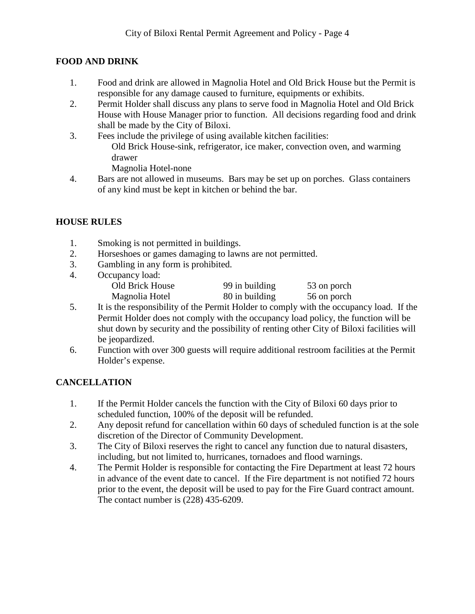#### **FOOD AND DRINK**

- 1. Food and drink are allowed in Magnolia Hotel and Old Brick House but the Permit is responsible for any damage caused to furniture, equipments or exhibits.
- 2. Permit Holder shall discuss any plans to serve food in Magnolia Hotel and Old Brick House with House Manager prior to function. All decisions regarding food and drink shall be made by the City of Biloxi.
- 3. Fees include the privilege of using available kitchen facilities: Old Brick House-sink, refrigerator, ice maker, convection oven, and warming drawer Magnolia Hotel-none
- 4. Bars are not allowed in museums. Bars may be set up on porches. Glass containers of any kind must be kept in kitchen or behind the bar.

## **HOUSE RULES**

- 1. Smoking is not permitted in buildings.
- 2. Horseshoes or games damaging to lawns are not permitted.
- 3. Gambling in any form is prohibited.
- 4. Occupancy load: Old Brick House 99 in building 53 on porch Magnolia Hotel 80 in building 56 on porch
- 5. It is the responsibility of the Permit Holder to comply with the occupancy load. If the Permit Holder does not comply with the occupancy load policy, the function will be shut down by security and the possibility of renting other City of Biloxi facilities will be jeopardized.
- 6. Function with over 300 guests will require additional restroom facilities at the Permit Holder's expense.

## **CANCELLATION**

- 1. If the Permit Holder cancels the function with the City of Biloxi 60 days prior to scheduled function, 100% of the deposit will be refunded.
- 2. Any deposit refund for cancellation within 60 days of scheduled function is at the sole discretion of the Director of Community Development.
- 3. The City of Biloxi reserves the right to cancel any function due to natural disasters, including, but not limited to, hurricanes, tornadoes and flood warnings.
- 4. The Permit Holder is responsible for contacting the Fire Department at least 72 hours in advance of the event date to cancel. If the Fire department is not notified 72 hours prior to the event, the deposit will be used to pay for the Fire Guard contract amount. The contact number is (228) 435-6209.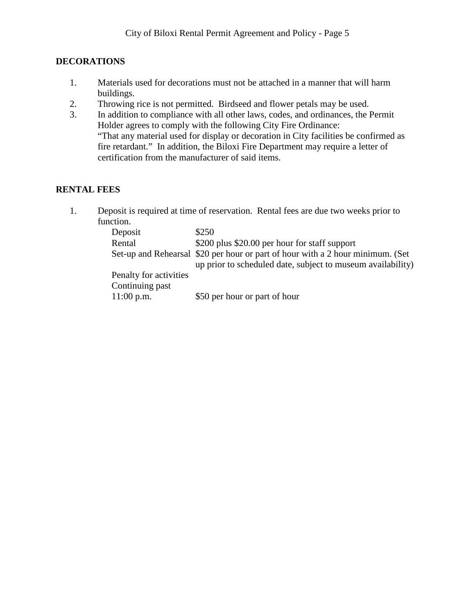#### **DECORATIONS**

- 1. Materials used for decorations must not be attached in a manner that will harm buildings.
- 2. Throwing rice is not permitted. Birdseed and flower petals may be used.
- 3. In addition to compliance with all other laws, codes, and ordinances, the Permit Holder agrees to comply with the following City Fire Ordinance: "That any material used for display or decoration in City facilities be confirmed as fire retardant." In addition, the Biloxi Fire Department may require a letter of certification from the manufacturer of said items.

#### **RENTAL FEES**

1. Deposit is required at time of reservation. Rental fees are due two weeks prior to function.

| Deposit                | \$250                                                                          |
|------------------------|--------------------------------------------------------------------------------|
| Rental                 | \$200 plus \$20.00 per hour for staff support                                  |
|                        | Set-up and Rehearsal \$20 per hour or part of hour with a 2 hour minimum. (Set |
|                        | up prior to scheduled date, subject to museum availability)                    |
| Penalty for activities |                                                                                |
| Continuing past        |                                                                                |
| $11:00$ p.m.           | \$50 per hour or part of hour                                                  |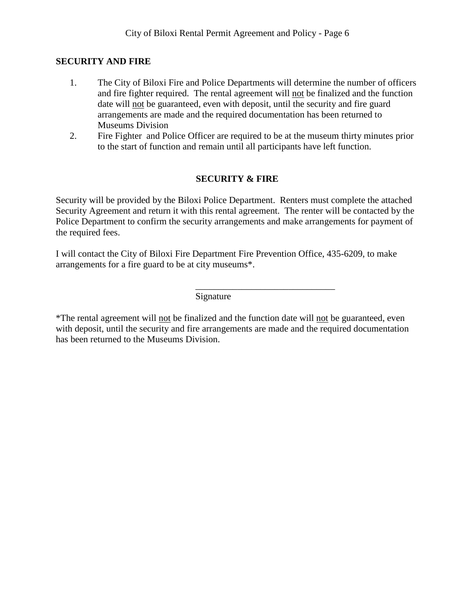#### **SECURITY AND FIRE**

- 1. The City of Biloxi Fire and Police Departments will determine the number of officers and fire fighter required. The rental agreement will not be finalized and the function date will not be guaranteed, even with deposit, until the security and fire guard arrangements are made and the required documentation has been returned to Museums Division
- 2. Fire Fighter and Police Officer are required to be at the museum thirty minutes prior to the start of function and remain until all participants have left function.

## **SECURITY & FIRE**

Security will be provided by the Biloxi Police Department. Renters must complete the attached Security Agreement and return it with this rental agreement. The renter will be contacted by the Police Department to confirm the security arrangements and make arrangements for payment of the required fees.

I will contact the City of Biloxi Fire Department Fire Prevention Office, 435-6209, to make arrangements for a fire guard to be at city museums\*.

> \_\_\_\_\_\_\_\_\_\_\_\_\_\_\_\_\_\_\_\_\_\_\_\_\_\_\_\_\_\_ Signature

\*The rental agreement will not be finalized and the function date will not be guaranteed, even with deposit, until the security and fire arrangements are made and the required documentation has been returned to the Museums Division.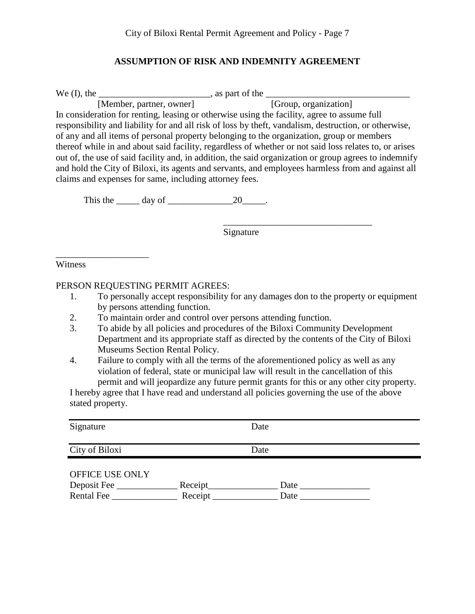#### **ASSUMPTION OF RISK AND INDEMNITY AGREEMENT**

We (I), the \_\_\_\_\_\_\_\_\_\_\_\_\_\_\_\_\_\_\_\_\_\_\_\_\_\_\_\_\_, as part of the \_\_\_\_\_\_\_\_\_\_\_\_\_\_\_\_\_\_\_\_\_\_\_

[Member, partner, owner] [Group, organization] In consideration for renting, leasing or otherwise using the facility, agree to assume full responsibility and liability for and all risk of loss by theft, vandalism, destruction, or otherwise, of any and all items of personal property belonging to the organization, group or members thereof while in and about said facility, regardless of whether or not said loss relates to, or arises out of, the use of said facility and, in addition, the said organization or group agrees to indemnify and hold the City of Biloxi, its agents and servants, and employees harmless from and against all claims and expenses for same, including attorney fees.

This the  $\_\_\_\_\$  day of  $\_\_\_\_\_\_\_2$  20 $\_\_\_\_\.\$ 

**Signature** 

\_\_\_\_\_\_\_\_\_\_\_\_\_\_\_\_\_\_\_\_\_\_\_\_\_\_\_\_\_\_\_\_

Witness

\_\_\_\_\_\_\_\_\_\_\_\_\_\_\_\_\_\_\_\_

#### PERSON REQUESTING PERMIT AGREES:

- 1. To personally accept responsibility for any damages don to the property or equipment by persons attending function.
- 2. To maintain order and control over persons attending function.
- 3. To abide by all policies and procedures of the Biloxi Community Development Department and its appropriate staff as directed by the contents of the City of Biloxi Museums Section Rental Policy.
- 4. Failure to comply with all the terms of the aforementioned policy as well as any violation of federal, state or municipal law will result in the cancellation of this permit and will jeopardize any future permit grants for this or any other city property.

I hereby agree that I have read and understand all policies governing the use of the above stated property.

| Signature                        |                     | Date         |
|----------------------------------|---------------------|--------------|
| City of Biloxi                   |                     | Date         |
| OFFICE USE ONLY                  |                     |              |
| Deposit Fee<br><b>Rental Fee</b> | Receipt_<br>Receipt | Date<br>Date |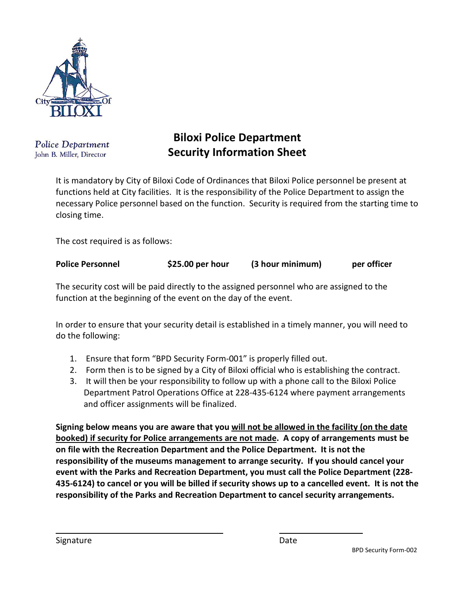

**Police Department** John B. Miller, Director

# **Biloxi Police Department Security Information Sheet**

It is mandatory by City of Biloxi Code of Ordinances that Biloxi Police personnel be present at functions held at City facilities. It is the responsibility of the Police Department to assign the necessary Police personnel based on the function. Security is required from the starting time to closing time.

The cost required is as follows:

|  | <b>Police Personnel</b> | \$25.00 per hour | (3 hour minimum) | per officer |
|--|-------------------------|------------------|------------------|-------------|
|--|-------------------------|------------------|------------------|-------------|

The security cost will be paid directly to the assigned personnel who are assigned to the function at the beginning of the event on the day of the event.

In order to ensure that your security detail is established in a timely manner, you will need to do the following:

- 1. Ensure that form "BPD Security Form-001" is properly filled out.
- 2. Form then is to be signed by a City of Biloxi official who is establishing the contract.
- 3. It will then be your responsibility to follow up with a phone call to the Biloxi Police Department Patrol Operations Office at 228-435-6124 where payment arrangements and officer assignments will be finalized.

**Signing below means you are aware that you will not be allowed in the facility (on the date booked) if security for Police arrangements are not made. A copy of arrangements must be on file with the Recreation Department and the Police Department. It is not the responsibility of the museums management to arrange security. If you should cancel your event with the Parks and Recreation Department, you must call the Police Department (228- 435-6124) to cancel or you will be billed if security shows up to a cancelled event. It is not the responsibility of the Parks and Recreation Department to cancel security arrangements.** 

Signature **Contracts and Science Contracts Executive** Date BPD Security Form-002